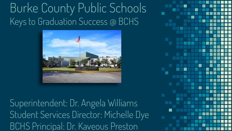### Burke County Public Schools Keys to Graduation Success @ BCHS



Superintendent: Dr. Angela Williams Student Services Director: Michelle Dye BCHS Principal: Dr. Kaveous Preston

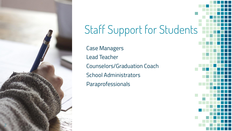

# Staff Support for Students Case Managers

Lead Teacher Counselors/Graduation Coach School Administrators Paraprofessionals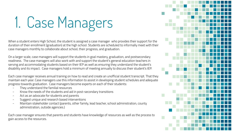# 1. Case Managers

When a student enters High School, the student is assigned a case manager who provides their support for the duration of their enrollment (graduation) at the high school. Students are scheduled to informally meet with their case managers monthly to collaborate about school, their progress, and graduation.

On a larger scale, case managers will support the students in goal mastery, graduation, and postsecondary readiness. The case managers will also work with and support the student's general education teachers in serving and accommodating students based on their IEP as well as ensuring they understand the student's disability and its impact. Case managers hold a minimum of meeting annually to discuss their student's IEP.

Each case manager receives annual training on how to read and create an unofficial student transcript. That they maintain each year. Case managers use this information to assist in developing student schedules and adequate progress towards graduation. Case managers become experts on each of their students:

- They understand the familial resources
- Know the needs of the students and aid in post-secondary transitions
- Act as an advocate for students and parents
- Suggest unique and research based interventions
- Maintain stakeholder contact (parents, other family, lead teacher, school administration, county administration, outside agencies.)

Each case manager ensures that parents and students have knowledge of resources as well as the process to gain access to the resources.

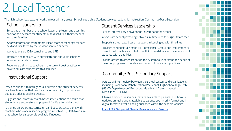### 2. Lead Teacher

The high school lead teacher works in four primary areas: School leadership, Student services leadership, Instruction, Community/Post-Secondary

#### School Leadership

Serves as a member of the school leadership team, and uses this position to advocate for students with disabilities, their teachers, and their families.

 Shares information from monthly lead teacher meetings that are held and facilitated by the student services director.

Works to ensure IDEA compliance and LRE

Interface and mediate with administration about stakeholder involvement and concerns

Redelivers training to teachers in the current best practices on how to educate students with disabilities

#### Instructional Support

Provides support to both general education and student services teachers to ensure that teachers have the ability to provide an equitable educational experience.

Suggests and locates research based interventions to ensure that students are successful and prepared for life after high school.

Is trained on programs, curriculum, and best practices along with teachers who work in specific programs (such as ID, EBD) to ensure that school level support is available if needed.

#### Student Services Leadership

Acts as intermediary between the Director and the school

Works with school psychologist to ensure timelines for eligibility are met

Supports school based case managers in keeping up with timelines

Provides continual training on IEP Compliance, Graduation Requirements, current best practices, and follow with CEC guidelines for the education of students with disabilities

Collaborates with other schools in the system to understand the needs of the other programs to create a continuum of consistent practices

#### Community/Post Secondary Support

Acts as an intermediary between the school system and organizations including: Vocational Rehabilitation (VocRehab), High School High Tech (HSHT), Department of Behavioral Health and Developmental Disabilities (DBHDD).

Utilizes a book of resources that are available to parents. This book is updated annually and is available to parents both in print format and in digital format as well as being published within the schools website.

[List of CSRA Special Needs Resources for Parents](https://4.files.edl.io/8588/05/20/20/152034-f03574a1-8b37-4c10-b613-de1f9b98d647.pdf)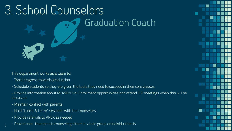

This department works as a team to:

- Track progress towards graduation
- Schedule students so they are given the tools they need to succeed in their core classes

- Provide information about MOWR/Dual Enrollment opportunities and attend IEP meetings when this will be discussed

- Maintain contact with parents

5

- Hold "Lunch & Learn" sessions with the counselors
- Provide referrals to APEX as needed
- Provide non-therapeutic counseling either in whole group or individual basis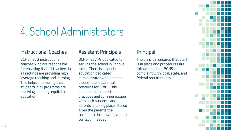### 4. School Administrators

#### Instructional Coaches

BCHS has 2 instructional coaches who are responsible for ensuring that all teachers in all settings are providing high leverage teaching and learning. This helps in ensuring that students in all programs are receiving a quality, equitable education.

#### Assistant Principals

BCHS has APs dedicated to serving the school in various roles. There is a special education dedicated administrator who handles discipline and parental concerns for SWD. This ensures that consistent practices and communication with both students and parents is taking place. It also gives the parents the confidence in knowing who to contact if needed.

#### Principal

The principal ensures that staff is in place and procedures are followed so that BCHS is complaint with local, state, and federal requirements.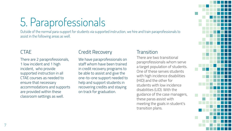### 5. Paraprofessionals

Outside of the normal para-support for students via supported instruction, we hire and train paraprofessionals to assist in the following areas as well.

#### CTAE

There are 2 paraprofessionals, 1 low incident and 1 high incident, who provide supported instruction in all CTAE courses as needed to ensure that necessary accommodations and supports are provided within these classroom settings as well.

#### Credit Recovery

We have paraprofessionals on staff whom have been trained in credit recovery programs to be able to assist and give the one-to-one support needed to help and support students in recovering credits and staying on track for graduation.

#### **Transition**

There are two transitional paraprofessionals whom serve a target population of students. One of these serves students with high incidence disabilities (HID) and the other for students with low incidence disabilities (LID). With the guidance of the case managers, these paras assist with meeting the goals in student's transition plans.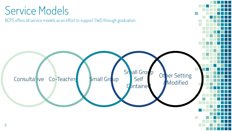### Service Models

BCPS offers all service models as an effort to support SWD through graduation.

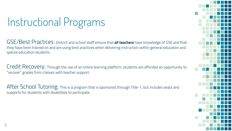## Instructional Programs

GSE/Best Practices: District and school staff ensure that **all teachers** have knowledge of GSE and that they have been trained on and are using best practices when delivering instruction within general education and special education students.

Credit Recovery: Through the use of an online learning platform, students are afforded an opportunity to "recover" grades from classes with teacher support.

After School Tutoring: This is a program that is sponsored through Title-1, but includes seats and supports for students with disabilities to participate.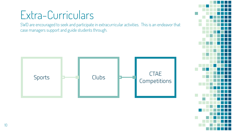### Extra-Curriculars

SWD are encouraged to seek and participate in extracurricular activities. This is an endeavor that case managers support and guide students through.

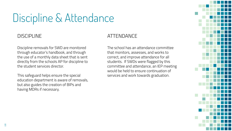### Discipline & Attendance

#### DISCIPLINE

11

Discipline removals for SWD are monitored through educator's handbook, and through the use of a monthly data sheet that is sent directly from the schools AP for discipline to the student services director.

This safeguard helps ensure the special education department is aware of removals, but also guides the creation of BIPs and having MDRs if necessary.

#### ATTENDANCE

The school has an attendance committee that monitors, assesses, and works to correct, and improve attendance for all students. If SWDs were flagged by this committee and attendance, an IEP meeting would be held to ensure continuation of services and work towards graduation.

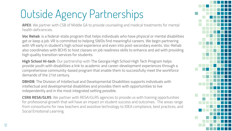## Outside Agency Partnerships

**APEX**: We partner with CSB of Middle GA to provide counseling and medical treatments for mental health deficiencies.

**Voc Rehab**: is a federal-state program that helps individuals who have physical or mental disabilities get or keep a job. VR is committed to helping SWDs find meaningful careers. We begin partnering with VR early in student's high school experience and even into post-secondary events. Voc-Rehab also coordinates with BCHS to host classes on job readiness skills to enhance and aid with providing high quality transition services for students.

**High School Hi-tech**: Our partnership with The Georgia High School High Tech Program helps provide youth with disabilities a link to academic and career-development experiences through a comprehensive community-based program that enable them to successfully meet the workforce demands of the 21st century.

**DBHDB**: The Division of Intellectual and Developmental Disabilities supports individuals with intellectual and developmental disabilities and provides them with opportunities to live independently and in the most integrated setting possible.

**CSRA RESA/GLRS**: We partner with RESA/GLRS agencies to provide us with training opportunities for professional growth that will have an impact on student success and outcomes. The areas range from consortiums for new teachers and assistive technology to IDEA compliance, best practices, and Social Emotional Learning.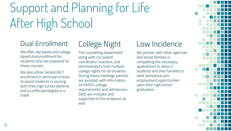# Support and Planning for Life After High School

### Dual Enrollment

We offer site based and college based dual enrollment for students who are prepared for those courses.

We also utilize Senate Bill 1 enrollment in technical schools to assist students in earning both their high school diploma and a certificate/degree in a trade.

### College Night

The counseling department along with our parent coordinator, teachers, and administrators host multiple college nights for all students. During these meetings parents are assisted with information on FASFA, college requirements, and admissions. SWD are included and supported in this endeavor as well.

### Low Incidence

We partner with other agencies and assist families in completing the necessary applications to allow LI students and their families to seek assistance and employment opportunities upon their high school graduation.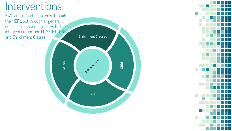### Interventions

SWD are supported not only through their IEPs, but through all general education interventions as well. These interventions include MTSS, RTI, PBIS, and Enrichment Classes.



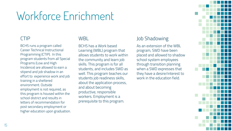### Workforce Enrichment

#### CTIP

BCHS runs a program called Career Technical Instructional Programming (CTIP). In this program students from all Special Programs (Low and High Incidence) are allowed to earn a stipend and job shadow in an effort to experience work and job training in a sheltered environment. Outside employment is not required, as this program is housed within the school district and results in letters of recommendation for post secondary employment or higher education upon graduation.

#### WBL

BCHS has a Work based Learning (WBL) program that allows students to work within the community and learn job skills. This program is for all students, and includes SWD as well. This program teaches our students job readiness skills, about the application process, and about becoming productive, responsible workers. Employment is a prerequisite to this program.

#### Job Shadowing

As an extension of the WBL program, SWD have been placed and allowed to shadow school system employees through transition planning when a SWD expresses that they have a desire/interest to work in the education field.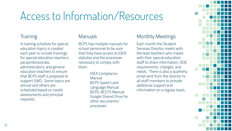### Access to Information/Resources

#### **Training**

A training schedule for special education topics is created each year to include trainings for special education teachers, paraprofessionals, administrators, and general education teachers to ensure that BCPS staff is prepared to support SWD. Some topics are annual and others are scheduled based on needs assessments and principal requests.

#### **Manuals**

BCPS has multiple manuals for school personnel to be sure that they have access to IDEA statutes and the processes necessary to comply with them.

- IDEA Compliance Manual
- BCPS Speech and Language Manual
- BCPS: BCETS Manual
- Google Shared Drive for other documents/ processes

#### Monthly Meetings

Each month the Student Services Director meets with the lead teachers who meets with their special education staff to share information, DOE requirements, changes, and needs. There is also a quarterly email sent from the director to all staff members to provide additional support and information on a regular basis.